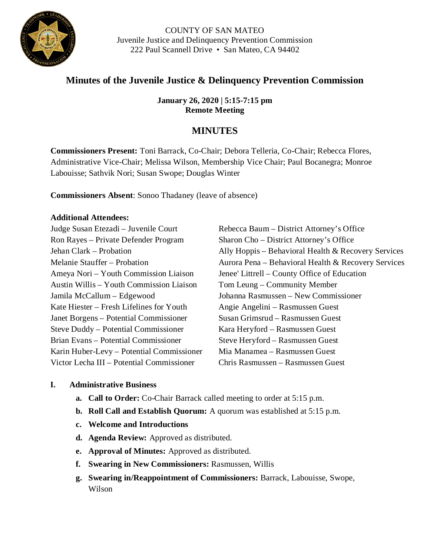

# **Minutes of the Juvenile Justice & Delinquency Prevention Commission**

**January 26, 2020 | 5:15-7:15 pm Remote Meeting**

## **MINUTES**

**Commissioners Present:** Toni Barrack, Co-Chair; Debora Telleria, Co-Chair; Rebecca Flores, Administrative Vice-Chair; Melissa Wilson, Membership Vice Chair; Paul Bocanegra; Monroe Labouisse; Sathvik Nori; Susan Swope; Douglas Winter

**Commissioners Absent**: Sonoo Thadaney (leave of absence)

#### **Additional Attendees:**

| Judge Susan Etezadi – Juvenile Court      | Rebecca Baum – District Attorney's Office           |
|-------------------------------------------|-----------------------------------------------------|
| Ron Rayes - Private Defender Program      | Sharon Cho – District Attorney's Office             |
| Jehan Clark – Probation                   | Ally Hoppis – Behavioral Health & Recovery Services |
| Melanie Stauffer – Probation              | Aurora Pena – Behavioral Health & Recovery Services |
| Ameya Nori – Youth Commission Liaison     | Jenee' Littrell – County Office of Education        |
| Austin Willis – Youth Commission Liaison  | Tom Leung – Community Member                        |
| Jamila McCallum – Edgewood                | Johanna Rasmussen - New Commissioner                |
| Kate Hiester – Fresh Lifelines for Youth  | Angie Angelini – Rasmussen Guest                    |
| Janet Borgens – Potential Commissioner    | Susan Grimsrud – Rasmussen Guest                    |
| Steve Duddy – Potential Commissioner      | Kara Heryford – Rasmussen Guest                     |
| Brian Evans – Potential Commissioner      | Steve Heryford - Rasmussen Guest                    |
| Karin Huber-Levy – Potential Commissioner | Mia Manamea – Rasmussen Guest                       |
| Victor Lecha III – Potential Commissioner | Chris Rasmussen – Rasmussen Guest                   |

#### **I. Administrative Business**

- **a. Call to Order:** Co-Chair Barrack called meeting to order at 5:15 p.m.
- **b. Roll Call and Establish Quorum:** A quorum was established at 5:15 p.m.
- **c. Welcome and Introductions**
- **d. Agenda Review:** Approved as distributed.
- **e. Approval of Minutes:** Approved as distributed.
- **f. Swearing in New Commissioners:** Rasmussen, Willis
- **g. Swearing in/Reappointment of Commissioners:** Barrack, Labouisse, Swope, Wilson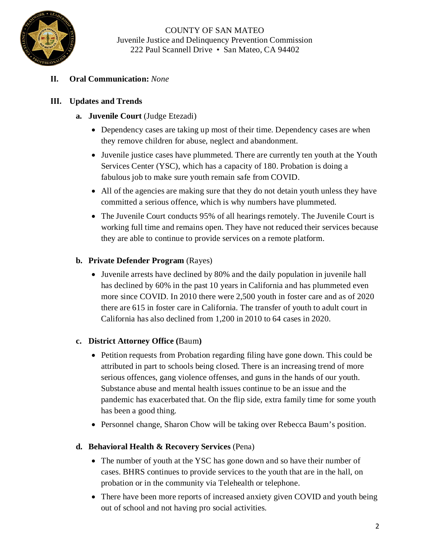

## **II. Oral Communication:** *None*

## **III. Updates and Trends**

- **a. Juvenile Court** (Judge Etezadi)
	- Dependency cases are taking up most of their time. Dependency cases are when they remove children for abuse, neglect and abandonment.
	- Juvenile justice cases have plummeted. There are currently ten youth at the Youth Services Center (YSC), which has a capacity of 180. Probation is doing a fabulous job to make sure youth remain safe from COVID.
	- All of the agencies are making sure that they do not detain youth unless they have committed a serious offence, which is why numbers have plummeted.
	- The Juvenile Court conducts 95% of all hearings remotely. The Juvenile Court is working full time and remains open. They have not reduced their services because they are able to continue to provide services on a remote platform.

## **b. Private Defender Program** (Rayes)

• Juvenile arrests have declined by 80% and the daily population in juvenile hall has declined by 60% in the past 10 years in California and has plummeted even more since COVID. In 2010 there were 2,500 youth in foster care and as of 2020 there are 615 in foster care in California. The transfer of youth to adult court in California has also declined from 1,200 in 2010 to 64 cases in 2020.

#### **c. District Attorney Office (**Baum**)**

- Petition requests from Probation regarding filing have gone down. This could be attributed in part to schools being closed. There is an increasing trend of more serious offences, gang violence offenses, and guns in the hands of our youth. Substance abuse and mental health issues continue to be an issue and the pandemic has exacerbated that. On the flip side, extra family time for some youth has been a good thing.
- Personnel change, Sharon Chow will be taking over Rebecca Baum's position.

#### **d. Behavioral Health & Recovery Services** (Pena)

- The number of youth at the YSC has gone down and so have their number of cases. BHRS continues to provide services to the youth that are in the hall, on probation or in the community via Telehealth or telephone.
- There have been more reports of increased anxiety given COVID and youth being out of school and not having pro social activities.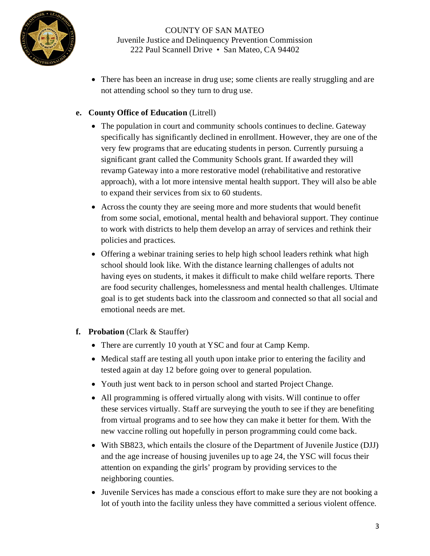

• There has been an increase in drug use; some clients are really struggling and are not attending school so they turn to drug use.

## **e. County Office of Education** (Litrell)

- The population in court and community schools continues to decline. Gateway specifically has significantly declined in enrollment. However, they are one of the very few programs that are educating students in person. Currently pursuing a significant grant called the Community Schools grant. If awarded they will revamp Gateway into a more restorative model (rehabilitative and restorative approach), with a lot more intensive mental health support. They will also be able to expand their services from six to 60 students.
- Across the county they are seeing more and more students that would benefit from some social, emotional, mental health and behavioral support. They continue to work with districts to help them develop an array of services and rethink their policies and practices.
- Offering a webinar training series to help high school leaders rethink what high school should look like. With the distance learning challenges of adults not having eyes on students, it makes it difficult to make child welfare reports. There are food security challenges, homelessness and mental health challenges. Ultimate goal is to get students back into the classroom and connected so that all social and emotional needs are met.

#### **f. Probation** (Clark & Stauffer)

- There are currently 10 youth at YSC and four at Camp Kemp.
- Medical staff are testing all youth upon intake prior to entering the facility and tested again at day 12 before going over to general population.
- Youth just went back to in person school and started Project Change.
- All programming is offered virtually along with visits. Will continue to offer these services virtually. Staff are surveying the youth to see if they are benefiting from virtual programs and to see how they can make it better for them. With the new vaccine rolling out hopefully in person programming could come back.
- With SB823, which entails the closure of the Department of Juvenile Justice (DJJ) and the age increase of housing juveniles up to age 24, the YSC will focus their attention on expanding the girls' program by providing services to the neighboring counties.
- Juvenile Services has made a conscious effort to make sure they are not booking a lot of youth into the facility unless they have committed a serious violent offence.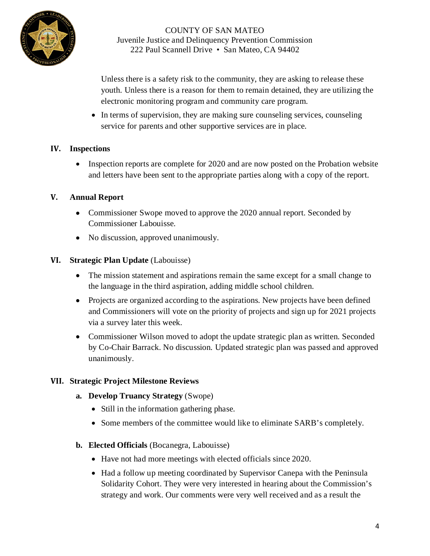

Unless there is a safety risk to the community, they are asking to release these youth. Unless there is a reason for them to remain detained, they are utilizing the electronic monitoring program and community care program.

• In terms of supervision, they are making sure counseling services, counseling service for parents and other supportive services are in place.

#### **IV. Inspections**

• Inspection reports are complete for 2020 and are now posted on the Probation website and letters have been sent to the appropriate parties along with a copy of the report.

## **V. Annual Report**

- Commissioner Swope moved to approve the 2020 annual report. Seconded by Commissioner Labouisse.
- No discussion, approved unanimously.

## **VI. Strategic Plan Update** (Labouisse)

- The mission statement and aspirations remain the same except for a small change to the language in the third aspiration, adding middle school children.
- Projects are organized according to the aspirations. New projects have been defined and Commissioners will vote on the priority of projects and sign up for 2021 projects via a survey later this week.
- Commissioner Wilson moved to adopt the update strategic plan as written. Seconded by Co-Chair Barrack. No discussion. Updated strategic plan was passed and approved unanimously.

#### **VII. Strategic Project Milestone Reviews**

- **a. Develop Truancy Strategy** (Swope)
	- Still in the information gathering phase.
	- Some members of the committee would like to eliminate SARB's completely.

#### **b. Elected Officials** (Bocanegra, Labouisse)

- Have not had more meetings with elected officials since 2020.
- Had a follow up meeting coordinated by Supervisor Canepa with the Peninsula Solidarity Cohort. They were very interested in hearing about the Commission's strategy and work. Our comments were very well received and as a result the